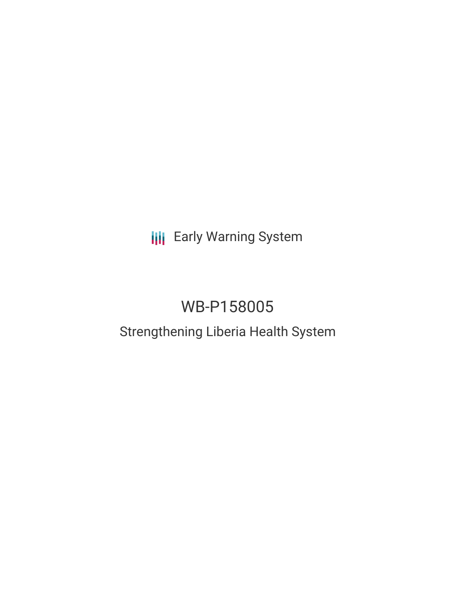**III** Early Warning System

# WB-P158005

## Strengthening Liberia Health System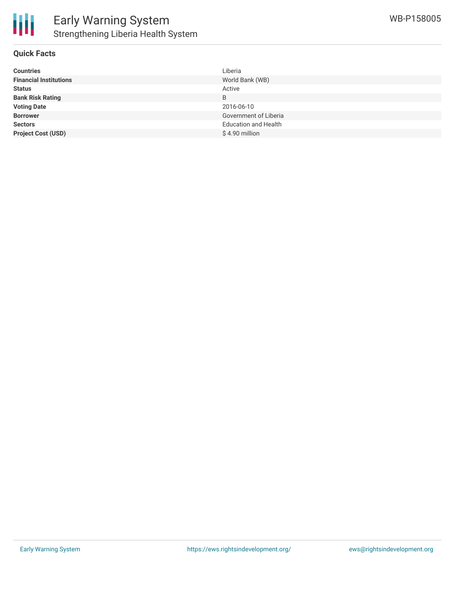

#### **Quick Facts**

| <b>Countries</b>              | Liberia                     |
|-------------------------------|-----------------------------|
| <b>Financial Institutions</b> | World Bank (WB)             |
| <b>Status</b>                 | Active                      |
| <b>Bank Risk Rating</b>       | B                           |
| <b>Voting Date</b>            | 2016-06-10                  |
| <b>Borrower</b>               | Government of Liberia       |
| <b>Sectors</b>                | <b>Education and Health</b> |
| <b>Project Cost (USD)</b>     | $$4.90$ million             |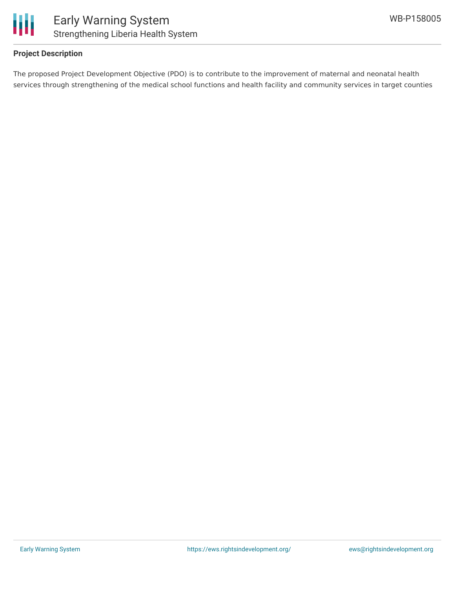

#### **Project Description**

The proposed Project Development Objective (PDO) is to contribute to the improvement of maternal and neonatal health services through strengthening of the medical school functions and health facility and community services in target counties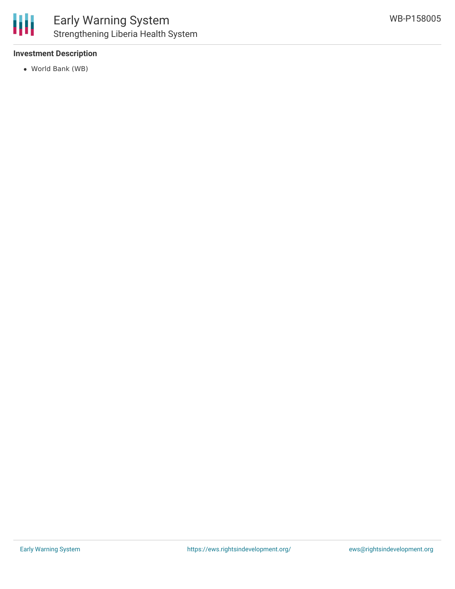

#### **Investment Description**

World Bank (WB)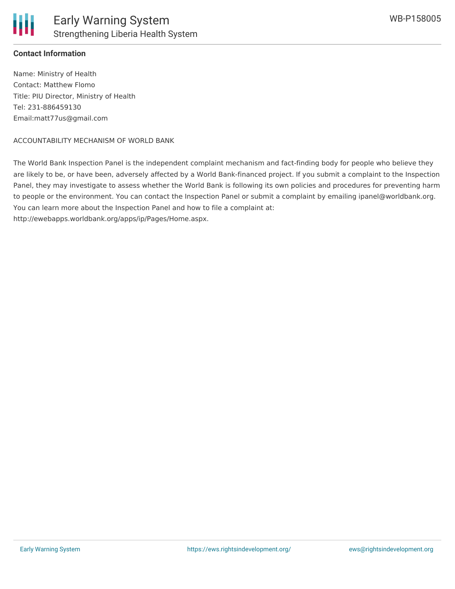

#### **Contact Information**

Name: Ministry of Health Contact: Matthew Flomo Title: PIU Director, Ministry of Health Tel: 231-886459130 Email:matt77us@gmail.com

#### ACCOUNTABILITY MECHANISM OF WORLD BANK

The World Bank Inspection Panel is the independent complaint mechanism and fact-finding body for people who believe they are likely to be, or have been, adversely affected by a World Bank-financed project. If you submit a complaint to the Inspection Panel, they may investigate to assess whether the World Bank is following its own policies and procedures for preventing harm to people or the environment. You can contact the Inspection Panel or submit a complaint by emailing ipanel@worldbank.org. You can learn more about the Inspection Panel and how to file a complaint at: http://ewebapps.worldbank.org/apps/ip/Pages/Home.aspx.